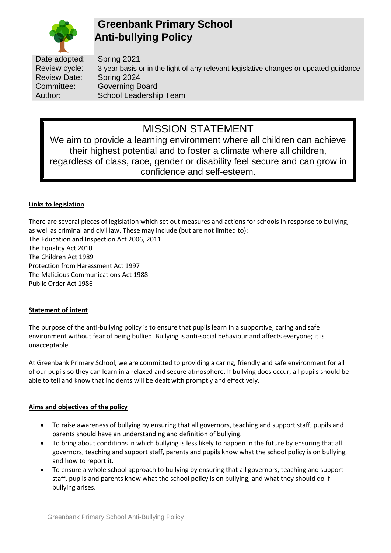

# **Greenbank Primary School Anti-bullying Policy**

Date adopted: Spring 2021 Review cycle: 3 year basis or in the light of any relevant legislative changes or updated guidance Review Date: Spring 2024 Committee: Governing Board Author: School Leadership Team

# MISSION STATEMENT

We aim to provide a learning environment where all children can achieve their highest potential and to foster a climate where all children, regardless of class, race, gender or disability feel secure and can grow in confidence and self-esteem.

## **Links to legislation**

There are several pieces of legislation which set out measures and actions for schools in response to bullying, as well as criminal and civil law. These may include (but are not limited to):

The Education and Inspection Act 2006, 2011 The Equality Act 2010 The Children Act 1989 Protection from Harassment Act 1997 The Malicious Communications Act 1988 Public Order Act 1986

# **Statement of intent**

The purpose of the anti-bullying policy is to ensure that pupils learn in a supportive, caring and safe environment without fear of being bullied. Bullying is anti-social behaviour and affects everyone; it is unacceptable.

At Greenbank Primary School, we are committed to providing a caring, friendly and safe environment for all of our pupils so they can learn in a relaxed and secure atmosphere. If bullying does occur, all pupils should be able to tell and know that incidents will be dealt with promptly and effectively.

# **Aims and objectives of the policy**

- To raise awareness of bullying by ensuring that all governors, teaching and support staff, pupils and parents should have an understanding and definition of bullying.
- To bring about conditions in which bullying is less likely to happen in the future by ensuring that all governors, teaching and support staff, parents and pupils know what the school policy is on bullying, and how to report it.
- To ensure a whole school approach to bullying by ensuring that all governors, teaching and support staff, pupils and parents know what the school policy is on bullying, and what they should do if bullying arises.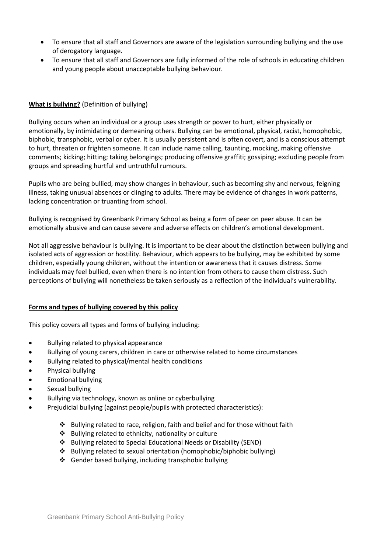- To ensure that all staff and Governors are aware of the legislation surrounding bullying and the use of derogatory language.
- To ensure that all staff and Governors are fully informed of the role of schools in educating children and young people about unacceptable bullying behaviour.

## **What is bullying?** (Definition of bullying)

Bullying occurs when an individual or a group uses strength or power to hurt, either physically or emotionally, by intimidating or demeaning others. Bullying can be emotional, physical, racist, homophobic, biphobic, transphobic, verbal or cyber. It is usually persistent and is often covert, and is a conscious attempt to hurt, threaten or frighten someone. It can include name calling, taunting, mocking, making offensive comments; kicking; hitting; taking belongings; producing offensive graffiti; gossiping; excluding people from groups and spreading hurtful and untruthful rumours.

Pupils who are being bullied, may show changes in behaviour, such as becoming shy and nervous, feigning illness, taking unusual absences or clinging to adults. There may be evidence of changes in work patterns, lacking concentration or truanting from school.

Bullying is recognised by Greenbank Primary School as being a form of peer on peer abuse. It can be emotionally abusive and can cause severe and adverse effects on children's emotional development.

Not all aggressive behaviour is bullying. It is important to be clear about the distinction between bullying and isolated acts of aggression or hostility. Behaviour, which appears to be bullying, may be exhibited by some children, especially young children, without the intention or awareness that it causes distress. Some individuals may feel bullied, even when there is no intention from others to cause them distress. Such perceptions of bullying will nonetheless be taken seriously as a reflection of the individual's vulnerability.

#### **Forms and types of bullying covered by this policy**

This policy covers all types and forms of bullying including:

- Bullying related to physical appearance
- Bullying of young carers, children in care or otherwise related to home circumstances
- Bullying related to physical/mental health conditions
- Physical bullying
- Emotional bullying
- Sexual bullving
- Bullying via technology, known as online or cyberbullying
- Prejudicial bullying (against people/pupils with protected characteristics):
	- ❖ Bullying related to race, religion, faith and belief and for those without faith
	- ❖ Bullying related to ethnicity, nationality or culture
	- ❖ Bullying related to Special Educational Needs or Disability (SEND)
	- ❖ Bullying related to sexual orientation (homophobic/biphobic bullying)
	- ❖ Gender based bullying, including transphobic bullying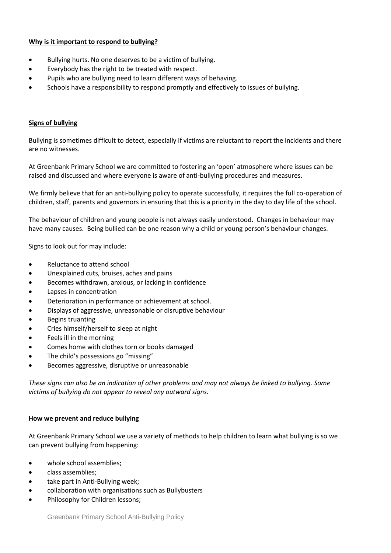## **Why is it important to respond to bullying?**

- Bullying hurts. No one deserves to be a victim of bullying.
- Everybody has the right to be treated with respect.
- Pupils who are bullying need to learn different ways of behaving.
- Schools have a responsibility to respond promptly and effectively to issues of bullying.

#### **Signs of bullying**

Bullying is sometimes difficult to detect, especially if victims are reluctant to report the incidents and there are no witnesses.

At Greenbank Primary School we are committed to fostering an 'open' atmosphere where issues can be raised and discussed and where everyone is aware of anti-bullying procedures and measures.

We firmly believe that for an anti-bullying policy to operate successfully, it requires the full co-operation of children, staff, parents and governors in ensuring that this is a priority in the day to day life of the school.

The behaviour of children and young people is not always easily understood. Changes in behaviour may have many causes. Being bullied can be one reason why a child or young person's behaviour changes.

Signs to look out for may include:

- Reluctance to attend school
- Unexplained cuts, bruises, aches and pains
- Becomes withdrawn, anxious, or lacking in confidence
- Lapses in concentration
- Deterioration in performance or achievement at school.
- Displays of aggressive, unreasonable or disruptive behaviour
- Begins truanting
- Cries himself/herself to sleep at night
- Feels ill in the morning
- Comes home with clothes torn or books damaged
- The child's possessions go "missing"
- Becomes aggressive, disruptive or unreasonable

*These signs can also be an indication of other problems and may not always be linked to bullying. Some victims of bullying do not appear to reveal any outward signs.*

#### **How we prevent and reduce bullying**

At Greenbank Primary School we use a variety of methods to help children to learn what bullying is so we can prevent bullying from happening:

- whole school assemblies;
- class assemblies;
- take part in Anti-Bullying week;
- collaboration with organisations such as Bullybusters
- Philosophy for Children lessons;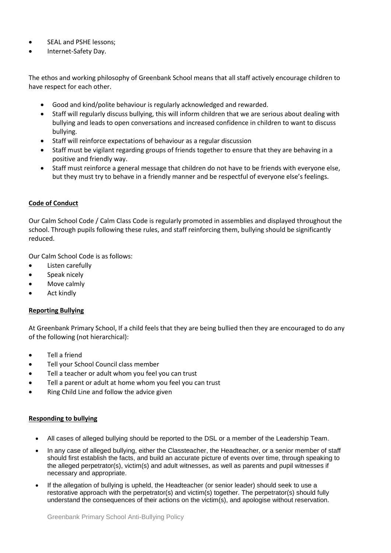- SEAL and PSHE lessons:
- Internet-Safety Day.

The ethos and working philosophy of Greenbank School means that all staff actively encourage children to have respect for each other.

- Good and kind/polite behaviour is regularly acknowledged and rewarded.
- Staff will regularly discuss bullying, this will inform children that we are serious about dealing with bullying and leads to open conversations and increased confidence in children to want to discuss bullying.
- Staff will reinforce expectations of behaviour as a regular discussion
- Staff must be vigilant regarding groups of friends together to ensure that they are behaving in a positive and friendly way.
- Staff must reinforce a general message that children do not have to be friends with everyone else, but they must try to behave in a friendly manner and be respectful of everyone else's feelings.

### **Code of Conduct**

Our Calm School Code / Calm Class Code is regularly promoted in assemblies and displayed throughout the school. Through pupils following these rules, and staff reinforcing them, bullying should be significantly reduced.

Our Calm School Code is as follows:

- Listen carefully
- Speak nicely
- Move calmly
- **Act kindly**

#### **Reporting Bullying**

At Greenbank Primary School, If a child feels that they are being bullied then they are encouraged to do any of the following (not hierarchical):

- Tell a friend
- Tell your School Council class member
- Tell a teacher or adult whom you feel you can trust
- Tell a parent or adult at home whom you feel you can trust
- Ring Child Line and follow the advice given

#### **Responding to bullying**

- All cases of alleged bullying should be reported to the DSL or a member of the Leadership Team.
- In any case of alleged bullying, either the Classteacher, the Headteacher, or a senior member of staff should first establish the facts, and build an accurate picture of events over time, through speaking to the alleged perpetrator(s), victim(s) and adult witnesses, as well as parents and pupil witnesses if necessary and appropriate.
- If the allegation of bullying is upheld, the Headteacher (or senior leader) should seek to use a restorative approach with the perpetrator(s) and victim(s) together. The perpetrator(s) should fully understand the consequences of their actions on the victim(s), and apologise without reservation.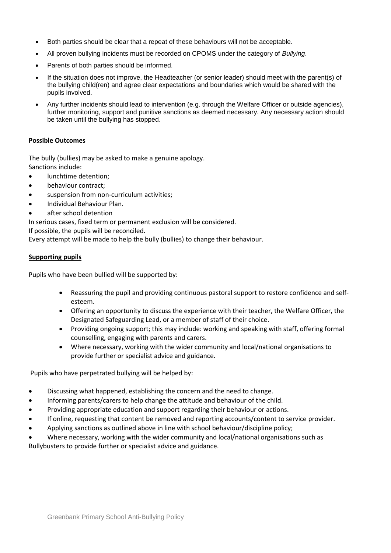- Both parties should be clear that a repeat of these behaviours will not be acceptable.
- All proven bullying incidents must be recorded on CPOMS under the category of *Bullying*.
- Parents of both parties should be informed.
- If the situation does not improve, the Headteacher (or senior leader) should meet with the parent(s) of the bullying child(ren) and agree clear expectations and boundaries which would be shared with the pupils involved.
- Any further incidents should lead to intervention (e.g. through the Welfare Officer or outside agencies), further monitoring, support and punitive sanctions as deemed necessary. Any necessary action should be taken until the bullying has stopped.

#### **Possible Outcomes**

The bully (bullies) may be asked to make a genuine apology. Sanctions include:

- lunchtime detention;
- behaviour contract;
- suspension from non-curriculum activities;
- Individual Behaviour Plan.
- after school detention

In serious cases, fixed term or permanent exclusion will be considered.

If possible, the pupils will be reconciled.

Every attempt will be made to help the bully (bullies) to change their behaviour.

#### **Supporting pupils**

Pupils who have been bullied will be supported by:

- Reassuring the pupil and providing continuous pastoral support to restore confidence and selfesteem.
- Offering an opportunity to discuss the experience with their teacher, the Welfare Officer, the Designated Safeguarding Lead, or a member of staff of their choice.
- Providing ongoing support; this may include: working and speaking with staff, offering formal counselling, engaging with parents and carers.
- Where necessary, working with the wider community and local/national organisations to provide further or specialist advice and guidance.

Pupils who have perpetrated bullying will be helped by:

- Discussing what happened, establishing the concern and the need to change.
- Informing parents/carers to help change the attitude and behaviour of the child.
- Providing appropriate education and support regarding their behaviour or actions.
- If online, requesting that content be removed and reporting accounts/content to service provider.
- Applying sanctions as outlined above in line with school behaviour/discipline policy;
- Where necessary, working with the wider community and local/national organisations such as

Bullybusters to provide further or specialist advice and guidance.